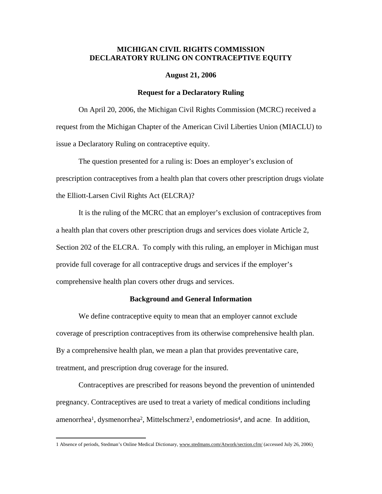# **MICHIGAN CIVIL RIGHTS COMMISSION DECLARATORY RULING ON CONTRACEPTIVE EQUITY**

## **August 21, 2006**

## **Request for a Declaratory Ruling**

On April 20, 2006, the Michigan Civil Rights Commission (MCRC) received a request from the Michigan Chapter of the American Civil Liberties Union (MIACLU) to issue a Declaratory Ruling on contraceptive equity.

The question presented for a ruling is: Does an employer's exclusion of prescription contraceptives from a health plan that covers other prescription drugs violate the Elliott-Larsen Civil Rights Act (ELCRA)?

It is the ruling of the MCRC that an employer's exclusion of contraceptives from a health plan that covers other prescription drugs and services does violate Article 2, Section 202 of the ELCRA. To comply with this ruling, an employer in Michigan must provide full coverage for all contraceptive drugs and services if the employer's comprehensive health plan covers other drugs and services.

## **Background and General Information**

We define contraceptive equity to mean that an employer cannot exclude coverage of prescription contraceptives from its otherwise comprehensive health plan. By a comprehensive health plan, we mean a plan that provides preventative care, treatment, and prescription drug coverage for the insured.

Contraceptives are prescribed for reasons beyond the prevention of unintended pregnancy. Contraceptives are used to treat a variety of medical conditions including amenorrhea<sup>1</sup>, dysmenorrhea<sup>2</sup>, Mittelschmerz<sup>3</sup>, endometriosis<sup>4</sup>, and acne. In addition,

 $\overline{a}$ 

<sup>1</sup> Absence of periods, Stedman's Online Medical Dictionary, www.stedmans.com/Atwork/section.cfm/ (accessed July 26, 2006).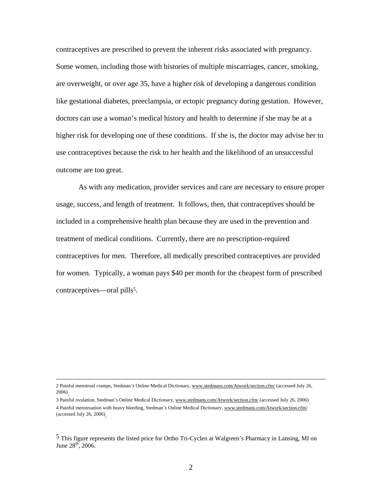contraceptives are prescribed to prevent the inherent risks associated with pregnancy. Some women, including those with histories of multiple miscarriages, cancer, smoking, are overweight, or over age 35, have a higher risk of developing a dangerous condition like gestational diabetes, preeclampsia, or ectopic pregnancy during gestation. However, doctors can use a woman's medical history and health to determine if she may be at a higher risk for developing one of these conditions. If she is, the doctor may advise her to use contraceptives because the risk to her health and the likelihood of an unsuccessful outcome are too great.

As with any medication, provider services and care are necessary to ensure proper usage, success, and length of treatment. It follows, then, that contraceptives should be included in a comprehensive health plan because they are used in the prevention and treatment of medical conditions. Currently, there are no prescription-required contraceptives for men. Therefore, all medically prescribed contraceptives are provided for women. Typically, a woman pays \$40 per month for the cheapest form of prescribed contraceptives—oral pills<sup>5</sup>.

<sup>2</sup> Painful menstrual cramps, Stedman's Online Medical Dictionary, www.stedmans.com/Atwork/section.cfm/ (accessed July 26, 2006).

<sup>3</sup> Painful ovulation, Stedman's Online Medical Dictionary, www.stedmans.com/Atwork/section.cfm/ (accessed July 26, 2006). 4 Painful menstruation with heavy bleeding, Stedman's Online Medical Dictionary, www.stedmans.com/Atwork/section.cfm/ (accessed July 26, 2006).

<sup>5</sup> This figure represents the listed price for Ortho Tri-Cyclen at Walgreen's Pharmacy in Lansing, MI on June  $28^{th}$ ,  $2006$ .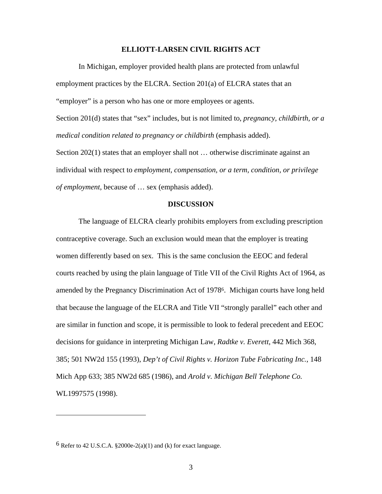### **ELLIOTT-LARSEN CIVIL RIGHTS ACT**

In Michigan, employer provided health plans are protected from unlawful employment practices by the ELCRA. Section 201(a) of ELCRA states that an "employer" is a person who has one or more employees or agents.

Section 201(d) states that "sex" includes, but is not limited to, *pregnancy, childbirth, or a medical condition related to pregnancy or childbirth* (emphasis added).

Section 202(1) states that an employer shall not … otherwise discriminate against an individual with respect to *employment, compensation, or a term, condition, or privilege of employment*, because of … sex (emphasis added).

## **DISCUSSION**

The language of ELCRA clearly prohibits employers from excluding prescription contraceptive coverage. Such an exclusion would mean that the employer is treating women differently based on sex. This is the same conclusion the EEOC and federal courts reached by using the plain language of Title VII of the Civil Rights Act of 1964, as amended by the Pregnancy Discrimination Act of 19786. Michigan courts have long held that because the language of the ELCRA and Title VII "strongly parallel" each other and are similar in function and scope, it is permissible to look to federal precedent and EEOC decisions for guidance in interpreting Michigan Law, *Radtke v. Everett*, 442 Mich 368, 385; 501 NW2d 155 (1993), *Dep't of Civil Rights v. Horizon Tube Fabricating Inc.*, 148 Mich App 633; 385 NW2d 685 (1986), and *Arold v. Michigan Bell Telephone Co.* WL1997575 (1998).

<u>.</u>

 $6$  Refer to 42 U.S.C.A. §2000e-2(a)(1) and (k) for exact language.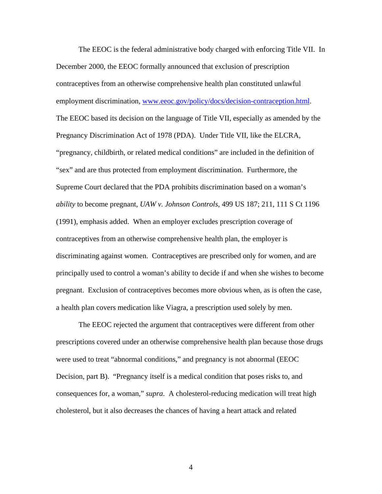The EEOC is the federal administrative body charged with enforcing Title VII. In December 2000, the EEOC formally announced that exclusion of prescription contraceptives from an otherwise comprehensive health plan constituted unlawful employment discrimination, www.eeoc.gov/policy/docs/decision-contraception.html. The EEOC based its decision on the language of Title VII, especially as amended by the Pregnancy Discrimination Act of 1978 (PDA). Under Title VII, like the ELCRA, "pregnancy, childbirth, or related medical conditions" are included in the definition of "sex" and are thus protected from employment discrimination. Furthermore, the Supreme Court declared that the PDA prohibits discrimination based on a woman's *ability* to become pregnant, *UAW v. Johnson Controls*, 499 US 187; 211, 111 S Ct 1196 (1991), emphasis added. When an employer excludes prescription coverage of contraceptives from an otherwise comprehensive health plan, the employer is discriminating against women. Contraceptives are prescribed only for women, and are principally used to control a woman's ability to decide if and when she wishes to become pregnant. Exclusion of contraceptives becomes more obvious when, as is often the case, a health plan covers medication like Viagra, a prescription used solely by men.

The EEOC rejected the argument that contraceptives were different from other prescriptions covered under an otherwise comprehensive health plan because those drugs were used to treat "abnormal conditions," and pregnancy is not abnormal (EEOC Decision, part B). "Pregnancy itself is a medical condition that poses risks to, and consequences for, a woman," *supra*. A cholesterol-reducing medication will treat high cholesterol, but it also decreases the chances of having a heart attack and related

4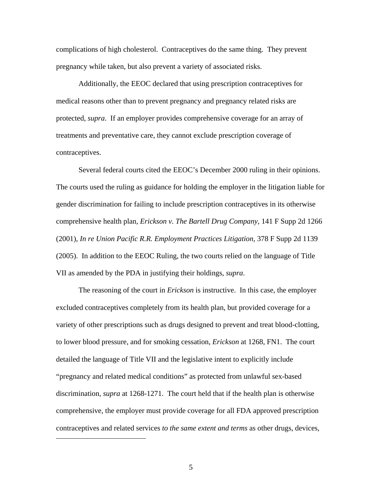complications of high cholesterol. Contraceptives do the same thing. They prevent pregnancy while taken, but also prevent a variety of associated risks.

Additionally, the EEOC declared that using prescription contraceptives for medical reasons other than to prevent pregnancy and pregnancy related risks are protected, *supra*. If an employer provides comprehensive coverage for an array of treatments and preventative care, they cannot exclude prescription coverage of contraceptives.

Several federal courts cited the EEOC's December 2000 ruling in their opinions. The courts used the ruling as guidance for holding the employer in the litigation liable for gender discrimination for failing to include prescription contraceptives in its otherwise comprehensive health plan, *Erickson v. The Bartell Drug Company*, 141 F Supp 2d 1266 (2001), *In re Union Pacific R.R. Employment Practices Litigation*, 378 F Supp 2d 1139 (2005). In addition to the EEOC Ruling, the two courts relied on the language of Title VII as amended by the PDA in justifying their holdings, *supra*.

The reasoning of the court in *Erickson* is instructive. In this case, the employer excluded contraceptives completely from its health plan, but provided coverage for a variety of other prescriptions such as drugs designed to prevent and treat blood-clotting, to lower blood pressure, and for smoking cessation, *Erickson* at 1268, FN1. The court detailed the language of Title VII and the legislative intent to explicitly include "pregnancy and related medical conditions" as protected from unlawful sex-based discrimination, *supra* at 1268-1271. The court held that if the health plan is otherwise comprehensive, the employer must provide coverage for all FDA approved prescription contraceptives and related services *to the same extent and terms* as other drugs, devices,

 $\overline{a}$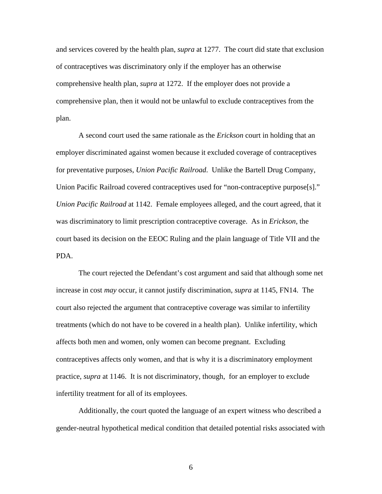and services covered by the health plan, *supra* at 1277. The court did state that exclusion of contraceptives was discriminatory only if the employer has an otherwise comprehensive health plan, *supra* at 1272. If the employer does not provide a comprehensive plan, then it would not be unlawful to exclude contraceptives from the plan.

A second court used the same rationale as the *Erickson* court in holding that an employer discriminated against women because it excluded coverage of contraceptives for preventative purposes, *Union Pacific Railroad*. Unlike the Bartell Drug Company, Union Pacific Railroad covered contraceptives used for "non-contraceptive purpose[s]." *Union Pacific Railroad* at 1142. Female employees alleged, and the court agreed, that it was discriminatory to limit prescription contraceptive coverage. As in *Erickson*, the court based its decision on the EEOC Ruling and the plain language of Title VII and the PDA.

The court rejected the Defendant's cost argument and said that although some net increase in cost *may* occur, it cannot justify discrimination, *supra* at 1145, FN14. The court also rejected the argument that contraceptive coverage was similar to infertility treatments (which do not have to be covered in a health plan). Unlike infertility, which affects both men and women, only women can become pregnant. Excluding contraceptives affects only women, and that is why it is a discriminatory employment practice, *supra* at 1146. It is not discriminatory, though, for an employer to exclude infertility treatment for all of its employees.

Additionally, the court quoted the language of an expert witness who described a gender-neutral hypothetical medical condition that detailed potential risks associated with

6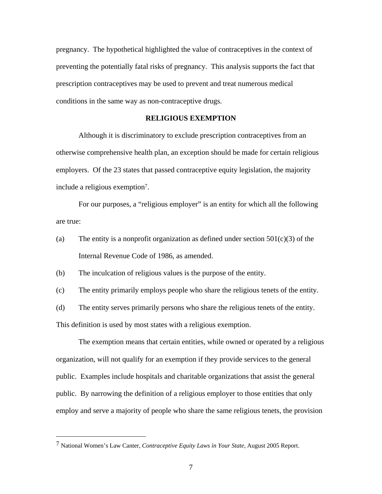pregnancy. The hypothetical highlighted the value of contraceptives in the context of preventing the potentially fatal risks of pregnancy. This analysis supports the fact that prescription contraceptives may be used to prevent and treat numerous medical conditions in the same way as non-contraceptive drugs.

## **RELIGIOUS EXEMPTION**

Although it is discriminatory to exclude prescription contraceptives from an otherwise comprehensive health plan, an exception should be made for certain religious employers. Of the 23 states that passed contraceptive equity legislation, the majority include a religious exemption7.

For our purposes, a "religious employer" is an entity for which all the following are true:

(a) The entity is a nonprofit organization as defined under section  $501(c)(3)$  of the Internal Revenue Code of 1986, as amended.

(b) The inculcation of religious values is the purpose of the entity.

(c) The entity primarily employs people who share the religious tenets of the entity.

(d) The entity serves primarily persons who share the religious tenets of the entity.

This definition is used by most states with a religious exemption.

 $\overline{a}$ 

The exemption means that certain entities, while owned or operated by a religious organization, will not qualify for an exemption if they provide services to the general public. Examples include hospitals and charitable organizations that assist the general public. By narrowing the definition of a religious employer to those entities that only employ and serve a majority of people who share the same religious tenets, the provision

<sup>7</sup> National Women's Law Canter, *Contraceptive Equity Laws in Your State*, August 2005 Report.